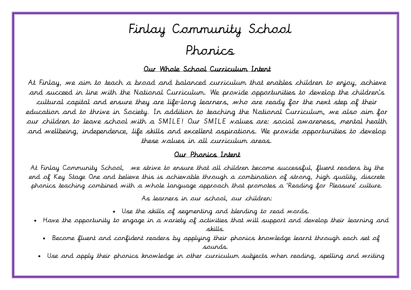# Finlay Community School

### Phonics

#### Our Whole School Curriculum Intent

 $\overline{a}$  $\overline{\mathbf{A}}$  $\overline{a}$  $\overline{\phantom{a}}$  $\overline{1}$  $\mathbf{r}$  $\overline{a}$ At Finlay, we aim to teach a broad and balanced curriculum that enables children to enjoy, achieve and succeed in line with the National Curriculum. We provide opportunities to develop the children's cultural capital and ensure they are life-long learners, who are ready for the next step of their education and to thrive in Society. In addition to teaching the National Curriculum, we also aim for our children to leave school with a SMILE! Our SMILE values are: social awareness, mental health and wellbeing, independence, life skills and excellent aspirations. We provide opportunities to develop these values in all curriculum areas.

### Our Phonics Intent

 At Finlay Community School, we strive to ensure that all children become successful, fluent readers by the end of Key Stage One and believe this is achievable through a combination of strong, high quality, discrete phonics teaching combined with a whole language approach that promotes a 'Reading for Pleasure' culture.

As learners in our school, our children:

- Use the skills of segmenting and blending to read words.
- $\frac{1}{1}$  Have the opportunity to engage in a variety of activities that will support and develop their learning and skills.
	- Become fluent and confident readers by applying their phonics knowledge learnt through each set of sounds.
	- Use and apply their phonics knowledge in other curriculum subjects when reading, spelling and writing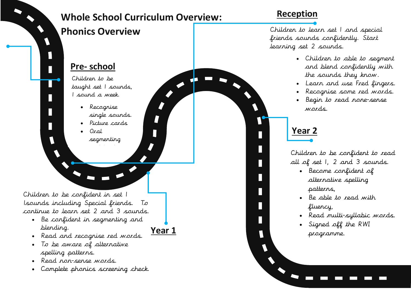

### **Whole School Curriculum Overview:**

### **Pre- school**

Children to be taught set 1 sounds, 1 sound a week.

- Recognise single sounds.
- Picture cards
	- Oral segmenting

Children to be confident in set 1 1sounds including Special friends. To continue to learn set 2 and 3 sounds.

 Be confident in segmenting and blending.



- Read and recognise red words.
- To be aware of alternative spelling patterns.
- Read non-sense words.
- Complete phonics screening check.

### **Reception**

**Phonics Overview Phonics Overview Children** to learn set 1 and special friends sounds confidently. Start learning set 2 sounds.

- Children to able to segment and blend confidently with the sounds they know.
- Learn and use Fred fingers.
- Recognise some red words.
- Begin to read none-sense words.

### **Year 2**

Children to be confident to read all of set 1, 2 and 3 sounds.

- Become confident of alternative spelling patterns,
- Be able to read with fluency,
- Read multi-syllabic words.
- Signed off the RWI programme.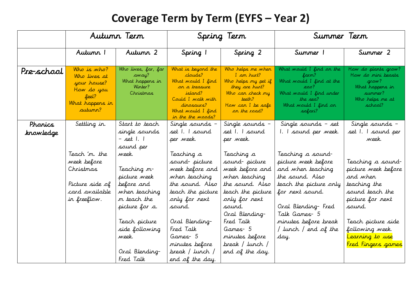## **Coverage Term by Term (EYFS – Year 2)**

|            | Autunn Tern                                                                                     |                                                                                                                                                                                 | Spring Term                                                                                                                                                                                                                           |                                                                                                                                                                                                                                        | Summer Term                                                                                                                                                                                                                  |                                                                                                                                                                                                                |
|------------|-------------------------------------------------------------------------------------------------|---------------------------------------------------------------------------------------------------------------------------------------------------------------------------------|---------------------------------------------------------------------------------------------------------------------------------------------------------------------------------------------------------------------------------------|----------------------------------------------------------------------------------------------------------------------------------------------------------------------------------------------------------------------------------------|------------------------------------------------------------------------------------------------------------------------------------------------------------------------------------------------------------------------------|----------------------------------------------------------------------------------------------------------------------------------------------------------------------------------------------------------------|
|            | Autumn 1                                                                                        | Autumn 2                                                                                                                                                                        | Spring 1                                                                                                                                                                                                                              | Spring 2                                                                                                                                                                                                                               | Summer 1                                                                                                                                                                                                                     | Summer 2                                                                                                                                                                                                       |
| Pre-school | Who is who?<br>Who lives at<br>your house?<br>How do you<br>feel?<br>What happens in<br>autumn? | Who lives, far, far<br>away?<br>What happens in<br>Winter?<br>Christmas                                                                                                         | What is beyond the<br>clauds?<br>What would I find<br>on a treasure<br>island?<br>Could I walk with<br>dinosaurs?<br>What would I find<br>in the the <i>woods?</i>                                                                    | Who helps me when<br>I am hurt?<br>Who helps my pet if<br>they are hurt?<br>Who can check my<br>teeth?<br>How can I be safe<br>on the road?                                                                                            | What would I find on the<br>farm?<br>What would I find at the<br>zoo?<br>What would I find under<br>the sea?<br>What would I find on<br>safari?                                                                              | How do plants grow?<br>How do mini beasts<br>grow?<br>What happens in<br>summer?<br>Who helps me at<br>school?                                                                                                 |
| Phanics    | Settling in.                                                                                    | Start to teach                                                                                                                                                                  | Single sounds –                                                                                                                                                                                                                       | Single sounds –                                                                                                                                                                                                                        | Single sounds - set                                                                                                                                                                                                          | Single sounds -                                                                                                                                                                                                |
| krowledge  |                                                                                                 | single sounds<br>– set 1. 1<br>sound per                                                                                                                                        | set 1. 1 sound<br>per week.                                                                                                                                                                                                           | set 1. 1 sound<br>per week.                                                                                                                                                                                                            | 1. I sound per week.                                                                                                                                                                                                         | set 1. 1 sound per<br>week.                                                                                                                                                                                    |
|            | Teach 'm. the<br>week before<br>Christmas<br>Picture side of<br>card available<br>in freeflow.  | week.<br>Teaching m-<br>picture week<br>before and<br>when teaching<br>m teach the<br>picture for a.<br>Teach picture<br>side following<br>week.<br>Oral Blending-<br>Fred Talk | Teaching a<br>sound-picture<br>week before and<br>when teaching<br>the sound. Also<br>teach the picture<br>only for next<br>sound.<br>Oral Blending-<br>Fred Talk<br>Games- 5<br>minutes before<br>break / lunch /<br>end of the day. | Teaching a<br>sound- picture<br>week before and<br>when teaching<br>the sound. Also<br>teach the picture<br>only for next<br>sound.<br>Oral Blending-<br>Fred Talk<br>Games- 5<br>minutes before<br>break / lunch /<br>end of the day. | Teaching a sound-<br>picture week before<br>and when teaching<br>the sound. Also<br>teach the picture only<br>for next sound.<br>Oral Blending-Fred<br>Talk Games- 5<br>minutes before break<br>/ lunch / end of the<br>day. | Teaching a sound-<br>picture week before<br>and when<br>teaching the<br>sound teach the<br>picture for next<br>sound.<br>Teach picture side<br>following week.<br>Learning to use<br><b>Fred Fingers games</b> |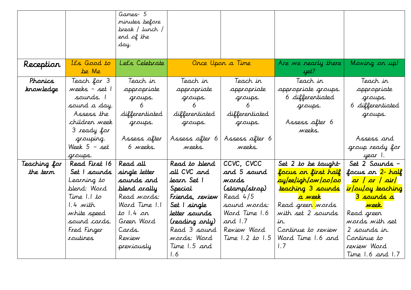|              |                  | Games- 5                          |                 |                     |                                 |                                |
|--------------|------------------|-----------------------------------|-----------------|---------------------|---------------------------------|--------------------------------|
|              |                  | minutes before<br>break / lunch / |                 |                     |                                 |                                |
|              |                  | end of the                        |                 |                     |                                 |                                |
|              |                  | day.                              |                 |                     |                                 |                                |
|              |                  |                                   |                 |                     |                                 |                                |
| Reception    | It's Good to     | Let's Celebrate                   |                 | Once Upon a Time    | Are we nearly there             | Moving on up!                  |
|              | be Me            |                                   |                 |                     | yet?                            |                                |
| Phanics      | Teach for 3      | Teach in                          | Teach in        | Teach in            | Teach in                        | Teach in                       |
| knowledge    | weeks - set 1    | appropriate                       | appropriate     | appropriate         | appropriate groups.             | appropriate                    |
|              | sounds. 1        | groups.                           | groups.         | groups.             | 6 differentiated                | groups.                        |
|              | sound a day.     | 6                                 |                 |                     | groups.                         | 6 differentiated               |
|              | Assess the       | differentiated                    | differentiated  | differentiated      |                                 | groups.                        |
|              | children week    | groups.                           | groups.         | groups.             | Assess after 6                  |                                |
|              | 3 ready for      |                                   |                 |                     | weeks.                          |                                |
|              | grouping.        | Assess after                      | Assess after 6  | Assess after 6      |                                 | Assess and                     |
|              | Week $5 - set$   | 6 weeks.                          | weeks.          | weeks.              |                                 | group ready for                |
|              | groups.          |                                   |                 |                     |                                 | year I.                        |
| Teaching for | Read First 16    | Read all                          | Read to blend   | CCVC, CVCC          | Set $2$ to be taught            | Set 2 Sounds -                 |
| the term     | Set I sounds     | single letter                     | all CVC and     | and 5 sound         | focus on first half             | focus on <mark>2ª half</mark>  |
|              | Learning to      | sounds and                        | Jearn Set I     | wards               | <mark>ay/ee/igh/ow/oo/oo</mark> | ar / or / air/                 |
|              | blend: Word      | blend orally                      | Special         | (stamp/strop)       | teaching 3 sounds               | <mark>ir/ou/oy teaching</mark> |
|              | Time 1.1 to      | Read <i>words:</i>                | Friends, review | Read $4/5$          | <mark>a week</mark>             | <mark>3 sounds a</mark>        |
|              | 1.4 with         | Word Time 1.1                     | Set I single    | sound words:        | Read green <mark> </mark> words | <u>week.</u>                   |
|              | white speed      | to 1.4 or                         | letter sounds   | Word Time 1.6       | with set 2 sounds               | Read greer                     |
|              | sound cards.     | Green Word                        | (reading only)  | and 1.7             | in.                             | words with set                 |
|              | Fred Finger      | Cards.                            | Read 3 sound    | Review Word         | Continue to review              | 2 sounds in.                   |
|              | <i>rout</i> ines | Review                            | wards: Ward     | Time $1.2$ to $1.5$ | Word Time 1.6 and               | Continue to                    |
|              |                  | previously                        | Time 1.5 and    |                     | 1.7                             | review Word                    |
|              |                  |                                   | 1.6             |                     |                                 | Time $1.6$ and $1.7$           |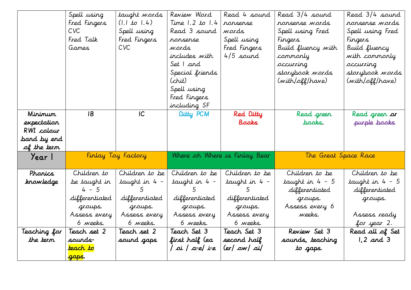|              | Spell using           | taught words            | Review Word                   | Read 4 sound   | Read 3/4 sound       | Read 3/4 sound   |
|--------------|-----------------------|-------------------------|-------------------------------|----------------|----------------------|------------------|
|              | Fred Fingers          | $(1.1 \text{ to } 1.4)$ | Time 1.2 to 1.4               | ronsense       | ronsense words       | ronsense words   |
|              | <b>CVC</b>            | Spell using             | Read 3 sound                  | wards          | Spell using Fred     | Spell using Fred |
|              | Fred Talk             | Fred Fingers            | ronsense                      | Spell using    | Fingers              | Fingers          |
|              | Games                 | CVC                     | wards                         | Fred Fingers   | Build fluency with   | Build fluency    |
|              |                       |                         | includes with                 | 4/5 sound      | commonly             | with commonly    |
|              |                       |                         | Set I and                     |                | occurring            | occurring        |
|              |                       |                         | Special friends               |                | storybook words      | storybook words  |
|              |                       |                         | (chit)                        |                | (with/off/have)      | (with/off/have)  |
|              |                       |                         | Spell using                   |                |                      |                  |
|              |                       |                         | Fred Fingers                  |                |                      |                  |
|              |                       |                         | including SF                  |                |                      |                  |
| Mininun      | <b>IB</b>             | IC                      | Ditty PCM                     | Red Ditty      | Read green           | Read green or    |
| expectation  |                       |                         |                               | Books          | baaks.               | purple books     |
| RWI colour   |                       |                         |                               |                |                      |                  |
| band by end  |                       |                         |                               |                |                      |                  |
| of the term  |                       |                         |                               |                |                      |                  |
| Year I       | Finlay Toy Factory    |                         | Where oh Where is Finlay Bear |                | The Great Space Race |                  |
|              |                       |                         |                               |                |                      |                  |
| Phanics      | Children to           | Children to be          | Children to be                | Children to be | Children to be       | Children to be   |
| krowledge    | be taught in          | taught in 4 –           | taught in 4 -                 | taught in 4 –  | taught in $4 - 5$    | taught in 4 - 5  |
|              | $4 - 5$               | 5                       | 5 <sup>5</sup>                | 5              | differentiated       | differentiated   |
|              | differentiated        | differentiated          | differentiated                | differentiated | groups.              | groups.          |
|              | groups.               | groups.                 | groups.                       | groups.        | Assess every 6       |                  |
|              | Assess every          | Assess every            | Assess every                  | Assess every   | weeks.               | Assess ready     |
|              | 6 weeks.              | 6 weeks.                | 6 weeks.                      | 6 weeks.       |                      | for year 2.      |
| Teaching for | Teach set 2           | Teach set 2             | Teach Set 3                   | Teach Set 3    | Review Set 3         | Read all of Set  |
| the term     | saurds-               | saund gaps              | first half (ea                | second half    | sounds, teaching     | $1,2$ and 3      |
|              | <mark>teach to</mark> |                         | oi   a-e  i-e                 | (er/ ow/ ai/   | to gaps.             |                  |
|              | <mark>gaps</mark> .   |                         |                               |                |                      |                  |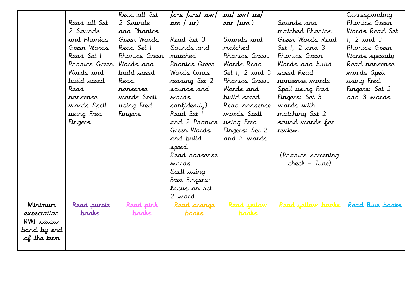|             |                         | Read all Set  | o-e  u-e  aw  | oa/ ew/ ire/     |                    | Corresponding   |
|-------------|-------------------------|---------------|---------------|------------------|--------------------|-----------------|
|             | Read all Set            | 2 Sounds      | are $/$ $ur)$ | ear /ure.)       | Sounds and         | Phonics Green   |
|             | 2 Sounds                | and Phonics   |               |                  | matched Phonics    | Words Read Set  |
|             | and Phanics             | Green Words   | Read Set 3    | Sounds and       | Green Words Read   | $1, 2$ and 3    |
|             | Green Wards             | Read Set 1    | Sounds and    | matched          | Set $1, 2$ and 3   | Phonics Green   |
|             | Read Set 1              | Phonics Green | matched       | Phonics Green    | Phonics Green      | Words speedily  |
|             | Phonics Green Words and |               | Phonics Green | Wards Read       | Words and build    | Read ronsense   |
|             | Wards and               | build speed   | Wards (ance   | Set $1, 2$ and 3 | speed Read         | words Spell     |
|             | build speed             | Read          | reading Set 2 | Phonics Green    | ronsense words     | using Fred      |
|             | Read                    | ronsense      | sounds and    | Wards and        | Spell using Fred   | Fingers: Set 2  |
|             | ronsense                | words Spell   | wards         | build speed      | Fingers: Set 3     | and 3 wards     |
|             | words Spell             | using Fred    | confidently)  | Read ronsense    | words with         |                 |
|             | using Fred              | Fingers       | Read Set 1    | words Spell      | matching Set 2     |                 |
|             | Fingers                 |               | and 2 Phonics | using Fred       | sound words for    |                 |
|             |                         |               | Green Words   | Fingers: Set 2   | review.            |                 |
|             |                         |               | and build     | and 3 words      |                    |                 |
|             |                         |               | speed.        |                  |                    |                 |
|             |                         |               | Read nonsense |                  | (Phonics screening |                 |
|             |                         |               | wards.        |                  | check - June)      |                 |
|             |                         |               | Spell using   |                  |                    |                 |
|             |                         |               | Fred Fingers: |                  |                    |                 |
|             |                         |               | focus on Set  |                  |                    |                 |
|             |                         |               | 2 word.       |                  |                    |                 |
| Minimum     | Read purple             | Read pink     | Read arange   | Read yellow      | Read yellow books  | Read Blue books |
| expectation | books.                  | pooks         | pooks         | <b>books</b>     |                    |                 |
| RWI colour  |                         |               |               |                  |                    |                 |
| band by end |                         |               |               |                  |                    |                 |
| of the term |                         |               |               |                  |                    |                 |
|             |                         |               |               |                  |                    |                 |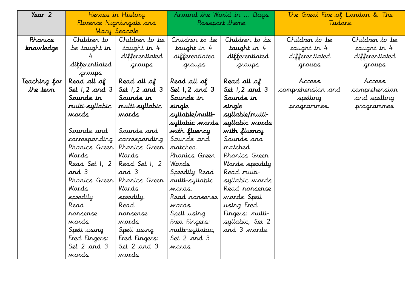| Year 2       | Heroes in History  |                          | Around the World in  Days |                    | The Great Fire of London & The |                |
|--------------|--------------------|--------------------------|---------------------------|--------------------|--------------------------------|----------------|
|              |                    | Florence Nightingale and |                           | Passport theme     | Tudars                         |                |
|              |                    | Mary Seacole             |                           |                    |                                |                |
| Phanics      | Children to        | Children to be           | Children to be            | Children to be     | Children to be                 | Children to be |
| knowledge    | be taught in       | taught in 4              | taught in 4               | taught in 4        | taught in 4                    | taught in 4    |
|              | 4                  | differentiated           | differentiated            | differentiated     | differentiated                 | differentiated |
|              | differentiated     | groups                   | groups                    | groups             | groups                         | groups         |
|              | groups             |                          |                           |                    |                                |                |
| Teaching for | Read all of        | Read all of              | Read all of               | Read all of        | Access                         | Access         |
| the term     | Set $1, 2$ and $3$ | Set $1, 2$ and 3         | Set $1, 2$ and $3$        | Set $1, 2$ and $3$ | comprehension and              | comprehension  |
|              | Sounds in          | Sounds in                | Sounds in                 | Sounds in          | spelling                       | and spelling   |
|              | multi-syllabic     | multi-syllabic           | single                    | single             | programmes.                    | programmes     |
|              | wards              | wards                    | syllable/multi-           | syllable/multi-    |                                |                |
|              |                    |                          | syllabic words            | syllabic words     |                                |                |
|              | Sounds and         | Sounds and               | with fluency              | with fluency       |                                |                |
|              | corresponding      | corresponding            | Sounds and                | Sounds and         |                                |                |
|              | Phonics Green      | Phonics Green            | matched                   | matched            |                                |                |
|              | Wards              | Wards                    | Phonics Green             | Phonics Green      |                                |                |
|              | Read Set 1, 2      | Read Set 1, 2            | Wards                     | Words speedily     |                                |                |
|              | and 3              | and 3                    | Speedily Read             | Read multi-        |                                |                |
|              | Phonics Green      | Phonics Green            | multi-syllabic            | syllabic words     |                                |                |
|              | Wards              | Wards                    | wards.                    | Read ronsense      |                                |                |
|              | speedily           | speedily.                | Read ronsense             | words Spell        |                                |                |
|              | Read               | Read                     | wards                     | using Fred         |                                |                |
|              | ronsense           | ronsense                 | Spell using               | Fingers: multi-    |                                |                |
|              | wards              | wards                    | Fred Fingers:             | syllabic, Set 2    |                                |                |
|              | Spell using        | Spell using              | multi-syllabic,           | and 3 wards        |                                |                |
|              | Fred Fingers:      | Fred Fingers:            | Set 2 and 3               |                    |                                |                |
|              | Set 2 and 3        | Set 2 and 3              | wards                     |                    |                                |                |
|              | wards              | wards                    |                           |                    |                                |                |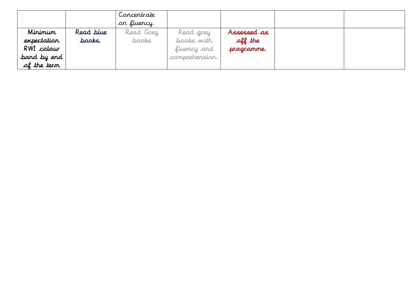|                                                                    |                     | Concentrate<br>on fluency. |                                                          |                                      |  |
|--------------------------------------------------------------------|---------------------|----------------------------|----------------------------------------------------------|--------------------------------------|--|
| Mininun<br>expectation<br>RWI colour<br>band by end<br>of the term | Read blue<br>baaks. | Read Grey<br>baaks.        | Read grey<br>books with<br>fluency and<br>comprehension. | Assessed as<br>off the<br>programme. |  |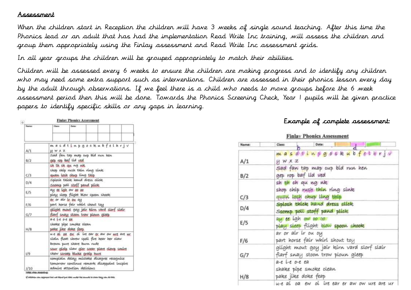#### Assessment

When the children start in Reception the children will have 3 weeks of single sound teaching. After this time the Phonics lead or an adult that has had the implementation Read Write Inc training, will assess the children and group them appropriately using the Finlay assessment and Read Write Inc assessment grids.

In all year groups the children will be grouped appropriately to match their abilities.

Children will be assessed every 6 weeks to ensure the children are making progress and to identify any children who may need some extra support such as interventions. Children are assessed in their phonics lesson every day by the adult through observations. If we feel there is a child who needs to move groups before the 6 week assessment period then this will be done. Towards the Phonics Screening Check, Year 1 pupils will be given practice papers to identify specific skills or any gaps in learning.

| <b>Marriett</b> | Cheese                                                                          | Date:                                                                                                                                                                                                   |  |  |  |
|-----------------|---------------------------------------------------------------------------------|---------------------------------------------------------------------------------------------------------------------------------------------------------------------------------------------------------|--|--|--|
|                 |                                                                                 | masdtinpgookubfelhrjv                                                                                                                                                                                   |  |  |  |
| A/1             | HWXZ                                                                            |                                                                                                                                                                                                         |  |  |  |
| B/2             | Sad fan tap map cup bid nun hen<br>gen cap but lid yed                          |                                                                                                                                                                                                         |  |  |  |
| C/3             |                                                                                 | sh th ch au no nk<br>shop chip rush thin ring sink<br>quan losh chup ling thip                                                                                                                          |  |  |  |
| D/4             | Splosh thick hand dress elick<br>Scomp poll stoff pand plick                    |                                                                                                                                                                                                         |  |  |  |
| E/S             | ay as light ow as as<br>play sleep flight blow spoon shook.                     |                                                                                                                                                                                                         |  |  |  |
| F/6             | ar or air ir ou ou<br>part horse fair whirl shout toy                           |                                                                                                                                                                                                         |  |  |  |
| G/7             | aliaht mout goy jair kinn vard slorf slair<br>flarf snay stoon trow plown alcep |                                                                                                                                                                                                         |  |  |  |
| H/8             | $a$ - $e$ $b$ - $e$ $o$ - $e$ $e$ $a$ .<br>pake jike doke feap.                 | shake pipe smoke clean                                                                                                                                                                                  |  |  |  |
| 1/9             |                                                                                 | we at as one of the ear or aw ow we are we<br>slain float shrew spoil fire hear her claw<br>brown pure share burn rude<br>sour gloip slaw gler soear plare clowp smire<br>SKEW SCrOPED OLWRE Graip hure |  |  |  |
| 1/10            |                                                                                 | complain detay mistake disagree recognise<br>tomorrow continue remark disappoint inspire<br>admire attention delicious                                                                                  |  |  |  |

#### Example of complete assessment:

| Name:                                                               | Class:<br>Date:                                                                 |  |  |  |
|---------------------------------------------------------------------|---------------------------------------------------------------------------------|--|--|--|
| masdtinggookubfethrjv<br>$M$ $W$ $X$ $Z$<br>A/1                     |                                                                                 |  |  |  |
| B/2                                                                 | sad fan tap map cup bid run hen<br>gep rop baf lid ved                          |  |  |  |
| C/3                                                                 | sh th ch qu ng nk<br>shop chip rush thin ring sink<br>quan losh chup ling thip  |  |  |  |
| Splosh thick hand dress click<br>D/4<br>Scomp poll stoff pand plick |                                                                                 |  |  |  |
| E/5                                                                 | ay ce igh ow 00 00<br>play sleep flight blow spoon shook                        |  |  |  |
| F/6                                                                 | ar or air ir ou oy<br>part horse fair whirl shout toy                           |  |  |  |
| G/7                                                                 | glight mout goy jair kirn vard slorf slair<br>flarf snay stoon trow ploun gleep |  |  |  |
| H/8                                                                 | a-e i-e o-e ea<br>shake pipe smoke clean<br>pake jike doke feap                 |  |  |  |
|                                                                     | $u - e$ at no ew nt ise eas or aw nw use ase us                                 |  |  |  |

If civilated as case approped that was likewal part along wouldn'ting cawaraki to show they call alonic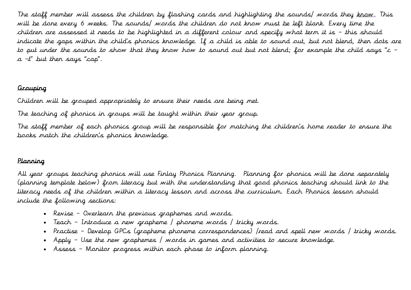The staff member will assess the children by flashing cards and highlighting the sounds/ words they know. This will be done every 6 weeks. The sounds/ words the children do not know must be left blank. Every time the children are assessed it needs to be highlighted in a different colour and specify what term it is – this should indicate the gaps within the child's phonics knowledge. If a child is able to sound out, but not blend, then dots are to put under the sounds to show that they know how to sound out but not blend; for example the child says "c –  $a - t$ " but then says "cap".

#### Grouping

Children will be grouped appropriately to ensure their needs are being met.

The teaching of phonics in groups will be taught within their year group.

The staff member of each phonics group will be responsible for matching the children's home reader to ensure the books match the children's phonics knowledge.

#### Planning

All year groups teaching phonics will use Finlay Phonics Planning. Planning for phonics will be done separately (planning template below) from literacy but with the understanding that good phonics teaching should link to the literacy needs of the children within a literacy lesson and across the curriculum. Each Phonics lesson should include the following sections:

- Revise Overlearn the previous graphemes and words.
- Teach Introduce a new grapheme / phoneme words / tricky words.
- Practise Develop GPCs (grapheme phoneme correspondences) /read and spell new words / tricky words.
- Apply Use the new graphemes / words in games and activities to secure knowledge.
- Assess Monitor progress within each phase to inform planning.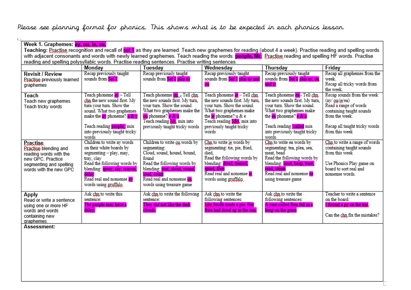### Please see planning format for phonics. This shows what is to be expected in each phonics lesson.

| Week 1. Graphemes: ay, ou, ie, ea. |                                                                                                                                                               |                                                  |                                                    |                                                  |                                            |  |  |
|------------------------------------|---------------------------------------------------------------------------------------------------------------------------------------------------------------|--------------------------------------------------|----------------------------------------------------|--------------------------------------------------|--------------------------------------------|--|--|
|                                    | Teaching: Practise recognition and recall of set 1 as they are learned. Teach new graphemes for reading (about 4 a week). Practise reading and spelling words |                                                  |                                                    |                                                  |                                            |  |  |
|                                    | with adjacent consonants and words with newly learned graphemes. Teach reading the words: <b>people, Mr.</b> Practise reading and spelling HF words. Practise |                                                  |                                                    |                                                  |                                            |  |  |
|                                    | reading and spelling polysyllabic words. Practise reading sentences. Practise writing sentences.                                                              |                                                  |                                                    |                                                  |                                            |  |  |
|                                    | Monday                                                                                                                                                        | Tuesday                                          | Wednesday                                          | Thursday                                         | Friday                                     |  |  |
| <b>Revisit / Review</b>            | Recap previously taught                                                                                                                                       | Recap previously taught                          | Recap previously taught                            | Recap previously taught                          | Recap all graphemes from the               |  |  |
| <b>Eractise previously learned</b> | sounds from Set 1                                                                                                                                             | sounds from Set 1 plus ay                        | sounds from Set 1 plus ay and                      | sounds from Set 1 plus ay, ou,                   | week.                                      |  |  |
| graphemes                          |                                                                                                                                                               |                                                  | ou                                                 | and ie                                           | Recap all tricky words from                |  |  |
|                                    |                                                                                                                                                               |                                                  |                                                    |                                                  | the week.                                  |  |  |
| Teach                              | Teach phoneme <mark>ay</mark> – Tell                                                                                                                          | Teach phoneme ou a Tell chn                      | Teach phoneme is – Tell chn                        | Teach phoneme ea - Tell chn                      | Recap sounds from the week                 |  |  |
| Teach new graphemes                | chn the new sound first. My                                                                                                                                   | the new sounds first. My turn,                   | the new sounds first. My turn,                     | the new sounds first. My turn,                   | $(ay/\rho\mu/\rho/a)$                      |  |  |
| Teach tricky words                 | turn your turn. Show the                                                                                                                                      | your turn. Show the sound.                       | your turn. Show the sound.                         | your turn. Show the sound.                       | Read a range of words                      |  |  |
|                                    | sound. What two graphemes<br>make the $\frac{ay}{ay}$ phoneme? $\frac{a & c & y}{a & c & y}$                                                                  | What two graphemes make the<br>ou phoneme? o & u | What two graphemes make<br>the $ie$ phoneme? u & e | What two graphemes make<br>the ea phoneme? e & a | containing taught sounds<br>from the week. |  |  |
|                                    |                                                                                                                                                               | Teach reading Mr. mix into                       | Teach reading Mrs. mix into                        |                                                  |                                            |  |  |
|                                    | Teach reading people, mix                                                                                                                                     | previously taught tricky words                   | previously taught tricky                           | Teach reading called mix                         | Recap all taught tricky words              |  |  |
|                                    | into previously taught tricky                                                                                                                                 |                                                  | words                                              | into previously taught tricky                    | from this week                             |  |  |
|                                    | words                                                                                                                                                         |                                                  |                                                    | words                                            |                                            |  |  |
| <b>Practise</b>                    | Children to write ay words                                                                                                                                    | Children to write ou words by                    | Chn to write ig words by                           | Chn to write ea words by                         | Chn to write a range of words              |  |  |
| <b>Practise blending and</b>       | on their white boards by                                                                                                                                      | segmenting:                                      | segmenting: tie, pie, fried,                       | segmenting: tea, plea, sea,                      | containing taught sounds                   |  |  |
| reading words with the             | segmenting - play, may,                                                                                                                                       | Cloud, sound, hound, bound,                      | died.                                              | meat, bead                                       | from this week                             |  |  |
| new GPC. Practice                  | tray, clay                                                                                                                                                    | found                                            | Read the following words by                        | Read the following words by                      |                                            |  |  |
| segmenting and spelling            | Read the following words by                                                                                                                                   | Read the following words by                      | blending: dried, denied,                           | blending: least, heap, treat,                    | Use Phonics Play game on                   |  |  |
| words with the new GPC             | blending: spray, say, crayon,                                                                                                                                 | blending: tout, about, round,                    | spied, fries<br>Read real and nonsense ie          | read, steam<br>Read real and nonsense ea         | board to sort real and                     |  |  |
|                                    | delav<br>Read real and nonsense av                                                                                                                            | loud, count<br>Read real and nonsense ou         | words using gruffalo                               |                                                  | nonsense words.                            |  |  |
|                                    | words using gruffalo                                                                                                                                          | words using treasure game                        |                                                    | using treasure game                              |                                            |  |  |
|                                    |                                                                                                                                                               |                                                  |                                                    |                                                  |                                            |  |  |
| Apply                              | Ask chn to write this                                                                                                                                         | Ask chn to write the following                   | Ask chn to write the                               | Ask chn to write the                             | Teacher to write a sentence                |  |  |
| Read or write a sentence           | sentence:                                                                                                                                                     | sentence:                                        | following sentences:                               | following sentences:                             | on the board:                              |  |  |
| using one or more HF               | The people may have a                                                                                                                                         | They did not like the dark                       | Mrs Smith made a pie. Her                          | A man called Ben fell in a                       | I found a py on the trai                   |  |  |
| words and words                    | delay.                                                                                                                                                        | clouds.                                          | fries had dried up in the sun.                     | heap on the grass                                |                                            |  |  |
| containing new                     |                                                                                                                                                               |                                                  |                                                    |                                                  | Can the chn fix the mistakes?              |  |  |
| graphemes.<br>Accorporti           |                                                                                                                                                               |                                                  |                                                    |                                                  |                                            |  |  |
|                                    |                                                                                                                                                               |                                                  |                                                    |                                                  |                                            |  |  |

**Assessment:**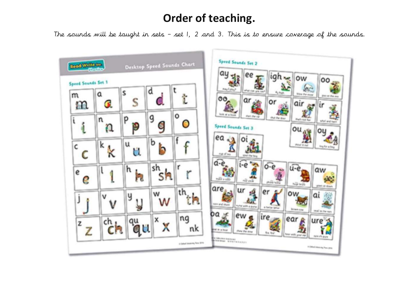## **Order of teaching.**

The sounds will be taught in sets – set 1, 2 and 3. This is to ensure coverage of the sounds.

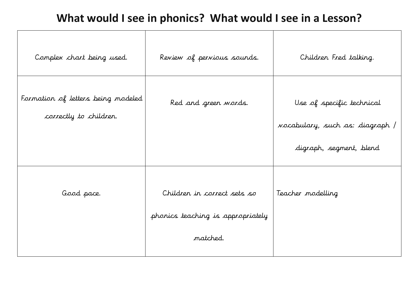## **What would I see in phonics? What would I see in a Lesson?**

| Complex chart being used.                                    | Review of pervious sounds.                                       | Children Fred talking.                                                                         |
|--------------------------------------------------------------|------------------------------------------------------------------|------------------------------------------------------------------------------------------------|
| Formation of letters being modeled<br>correctly to children. | Red and green words.                                             | Use of specific technical<br><i>vocabulary, such as: diagraph /</i><br>digraph, segment, blend |
|                                                              |                                                                  |                                                                                                |
| Good pace.                                                   | Children in correct sets so<br>phonics teaching is appropriately | Teacher modelling                                                                              |
|                                                              | matched.                                                         |                                                                                                |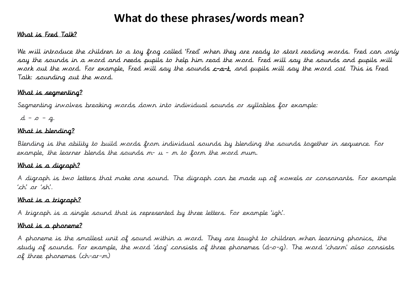## **What do these phrases/words mean?**

#### What is Fred Talk?

We will introduce the children to a toy frog called 'Fred' when they are ready to start reading words. Fred can only say the sounds in a word and needs pupils to help him read the word. Fred will say the sounds and pupils will work out the word. For example, Fred will say the sounds c-a-t, and pupils will say the word cat. This is Fred Talk: sounding out the word.

#### What is segmenting?

Segmenting involves breaking words down into individual sounds or syllables for example:

 $d - \sigma - g$ .

#### What is blending?

Blending is the ability to build words from individual sounds by blending the sounds together in sequence. For example, the learner blends the sounds  $m- u - m$  to form the word mum.

#### What is a digraph?

A digraph is two letters that make one sound. The digraph can be made up of vowels or consonants. For example 'ch' or 'sh'.

#### What is a trigraph?

A trigraph is a single sound that is represented by three letters. For example 'igh'.

#### What is a phoneme?

A phoneme is the smallest unit of sound within a word. They are taught to children when learning phonics, the study of sounds. For example, the word 'dog' consists of three phonemes (d–o–g). The word 'charm' also consists of three phonemes (ch–ar–m)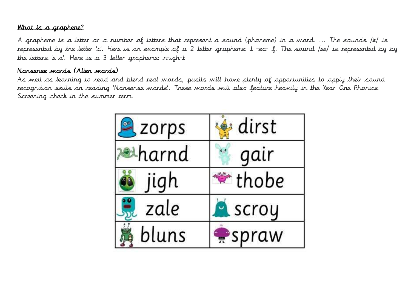#### What is a graphene?

A grapheme is a letter or a number of letters that represent a sound (phoneme) in a word. ... The sounds /k/ is represented by the letter 'c'. Here is an example of a 2 letter grapheme: l –ea- f. The sound /ee/ is represented by by the letters 'e a'. Here is a 3 letter grapheme: n-igh-t

#### Nonsense words (Alien words)

As well as learning to read and blend real words, pupils will have plenty of opportunities to apply their sound recognition skills on reading 'Nonsense words'. These words will also feature heavily in the Year One Phonics Screening check in the summer term.

| zorps  | dirst              |
|--------|--------------------|
| ↓harnd | gair               |
| jigh   | $^{\bullet}$ thobe |
| zale   | scroy              |
| bluns  | spraw              |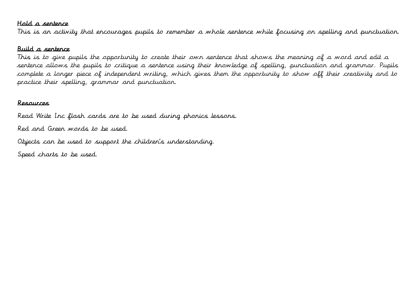#### Hold a sentence

This is an activity that encourages pupils to remember a whole sentence while focusing on spelling and punctuation.

#### Build a sentence

This is to give pupils the opportunity to create their own sentence that shows the meaning of a word and edit a sentence allows the pupils to critique a sentence using their knowledge of spelling, punctuation and grammar. Pupils complete a longer piece of independent writing, which gives them the opportunity to show off their creativity and to practice their spelling, grammar and punctuation.

#### Resources

Read Write Inc flash cards are to be used during phonics lessons. Red and Green words to be used. Objects can be used to support the children's understanding.

Speed charts to be used.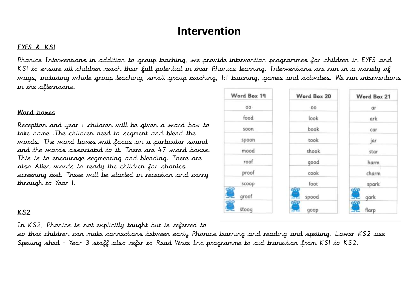### **Intervention**

#### EYFS & KS1

Phonics Interventions in addition to group teaching, we provide intervention programmes for children in EYFS and KS1 to ensure all children reach their full potential in their Phonics learning. Interventions are run in a variety of ways, including whole group teaching, small group teaching, 1:1 teaching, games and activities. We run interventions in the afternoons.

#### Word boxes

Reception and year 1 children will be given a word box to take home .The children need to segment and blend the words. The word boxes will focus on a particular sound and the words associated to it. There are 47 word boxes. This is to encourage segmenting and blending. There are also Alien words to ready the children for phonics screening test. These will be started in reception and carry through to Year 1.

#### Word Box 19 Word Box 20 Word Box 21 OO 00 ar food  $look$ ark soon book  $car$ took spoon jar mood shook star roof good harm proof cook charm scoop foot spark groof spood gark stoog flarp qoop

### KS2

In KS2, Phonics is not explicitly taught but is referred to

so that children can make connections between early Phonics learning and reading and spelling. Lower KS2 use Spelling shed - Year 3 staff also refer to Read Write Inc programme to aid transition from KS1 to KS2.